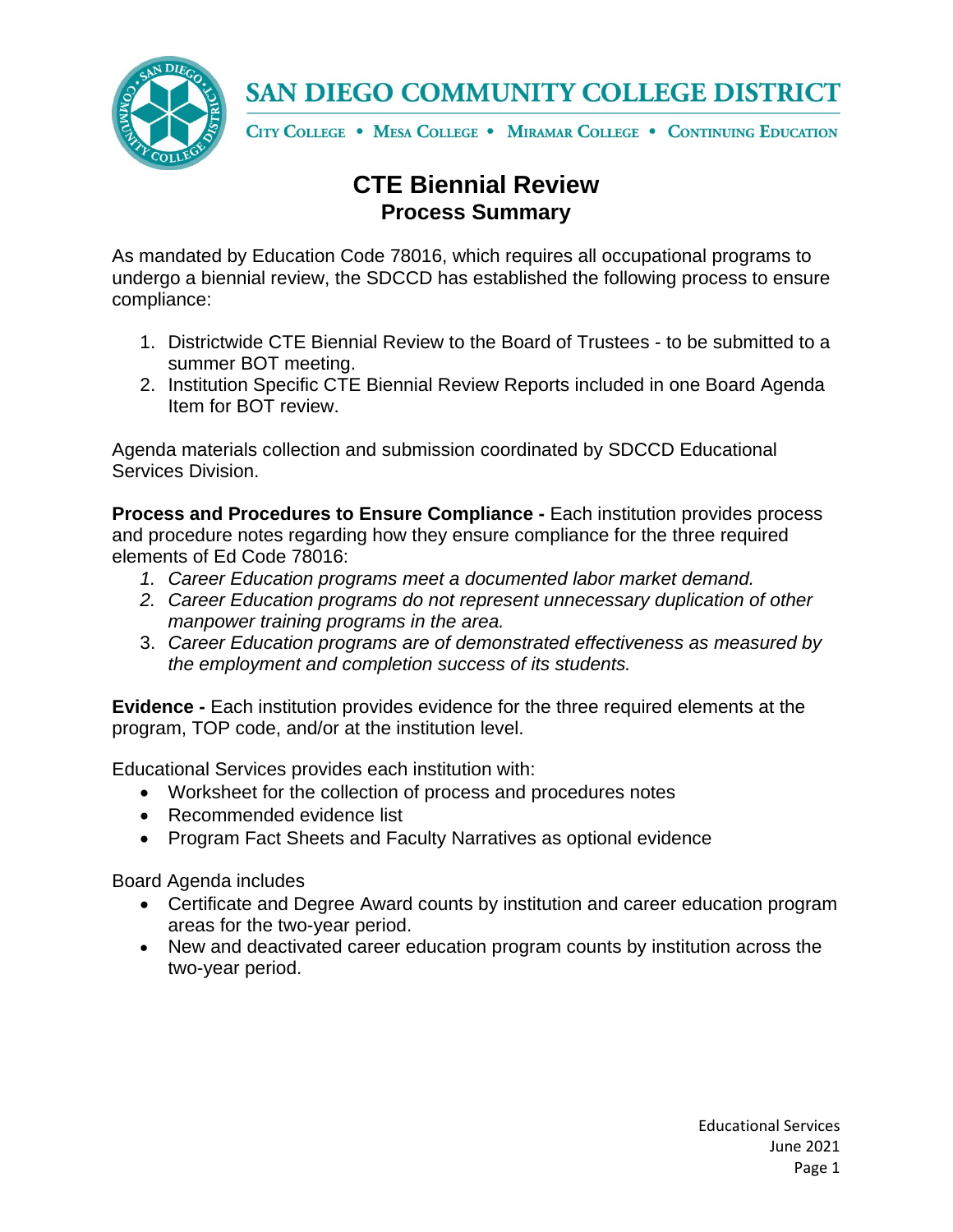

## SAN DIEGO COMMUNITY COLLEGE DISTRICT

CITY COLLEGE . MESA COLLEGE . MIRAMAR COLLEGE . CONTINUING EDUCATION

## **CTE Biennial Review Process Summary**

As mandated by Education Code 78016, which requires all occupational programs to undergo a biennial review, the SDCCD has established the following process to ensure compliance:

- 1. Districtwide CTE Biennial Review to the Board of Trustees to be submitted to a summer BOT meeting.
- 2. Institution Specific CTE Biennial Review Reports included in one Board Agenda Item for BOT review.

Agenda materials collection and submission coordinated by SDCCD Educational Services Division.

**Process and Procedures to Ensure Compliance -** Each institution provides process and procedure notes regarding how they ensure compliance for the three required elements of Ed Code 78016:

- *1. Career Education programs meet a documented labor market demand.*
- *2. Career Education programs do not represent unnecessary duplication of other manpower training programs in the area.*
- 3. *Career Education programs are of demonstrated effectiveness as measured by the employment and completion success of its students.*

**Evidence -** Each institution provides evidence for the three required elements at the program, TOP code, and/or at the institution level.

Educational Services provides each institution with:

- Worksheet for the collection of process and procedures notes
- Recommended evidence list
- Program Fact Sheets and Faculty Narratives as optional evidence

Board Agenda includes

- Certificate and Degree Award counts by institution and career education program areas for the two-year period.
- New and deactivated career education program counts by institution across the two-year period.